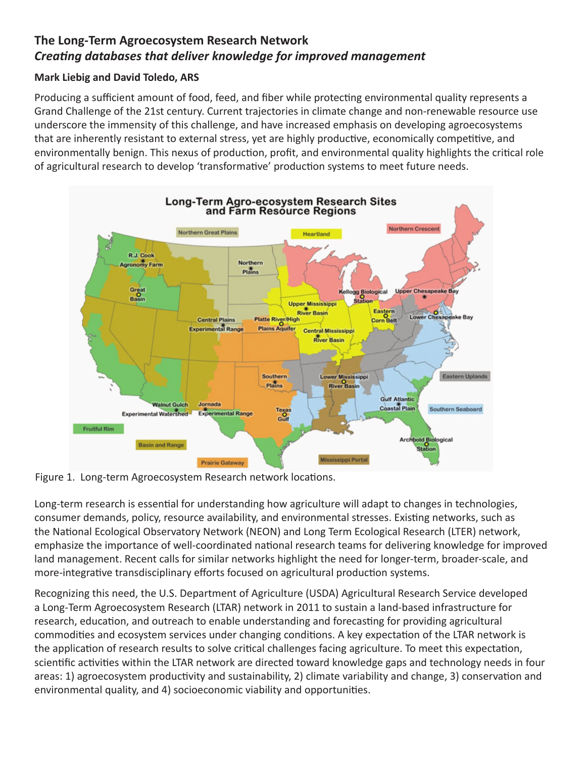# **The Long-Term Agroecosystem Research Network** *Creating databases that deliver knowledge for improved management*

## **Mark Liebig and David Toledo, ARS**

Producing a sufficient amount of food, feed, and fiber while protecting environmental quality represents a Grand Challenge of the 21st century. Current trajectories in climate change and non-renewable resource use underscore the immensity of this challenge, and have increased emphasis on developing agroecosystems that are inherently resistant to external stress, yet are highly productive, economically competitive, and environmentally benign. This nexus of production, profit, and environmental quality highlights the critical role of agricultural research to develop 'transformative' production systems to meet future needs.



Figure 1. Long-term Agroecosystem Research network locations.

Long-term research is essential for understanding how agriculture will adapt to changes in technologies, consumer demands, policy, resource availability, and environmental stresses. Existing networks, such as the National Ecological Observatory Network (NEON) and Long Term Ecological Research (LTER) network, emphasize the importance of well-coordinated national research teams for delivering knowledge for improved land management. Recent calls for similar networks highlight the need for longer-term, broader-scale, and more-integrative transdisciplinary efforts focused on agricultural production systems.

Recognizing this need, the U.S. Department of Agriculture (USDA) Agricultural Research Service developed a Long-Term Agroecosystem Research (LTAR) network in 2011 to sustain a land-based infrastructure for research, education, and outreach to enable understanding and forecasting for providing agricultural commodities and ecosystem services under changing conditions. A key expectation of the LTAR network is the application of research results to solve critical challenges facing agriculture. To meet this expectation, scientific activities within the LTAR network are directed toward knowledge gaps and technology needs in four areas: 1) agroecosystem productivity and sustainability, 2) climate variability and change, 3) conservation and environmental quality, and 4) socioeconomic viability and opportunities.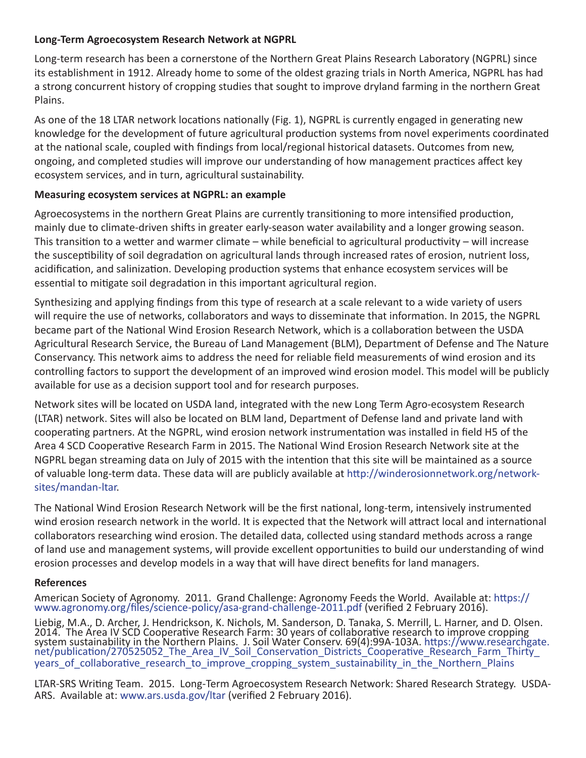#### **Long-Term Agroecosystem Research Network at NGPRL**

Long-term research has been a cornerstone of the Northern Great Plains Research Laboratory (NGPRL) since its establishment in 1912. Already home to some of the oldest grazing trials in North America, NGPRL has had a strong concurrent history of cropping studies that sought to improve dryland farming in the northern Great Plains.

As one of the 18 LTAR network locations nationally (Fig. 1), NGPRL is currently engaged in generating new knowledge for the development of future agricultural production systems from novel experiments coordinated at the national scale, coupled with findings from local/regional historical datasets. Outcomes from new, ongoing, and completed studies will improve our understanding of how management practices affect key ecosystem services, and in turn, agricultural sustainability.

## **Measuring ecosystem services at NGPRL: an example**

Agroecosystems in the northern Great Plains are currently transitioning to more intensified production, mainly due to climate-driven shifts in greater early-season water availability and a longer growing season. This transition to a wetter and warmer climate – while beneficial to agricultural productivity – will increase the susceptibility of soil degradation on agricultural lands through increased rates of erosion, nutrient loss, acidification, and salinization. Developing production systems that enhance ecosystem services will be essential to mitigate soil degradation in this important agricultural region.

Synthesizing and applying findings from this type of research at a scale relevant to a wide variety of users will require the use of networks, collaborators and ways to disseminate that information. In 2015, the NGPRL became part of the National Wind Erosion Research Network, which is a collaboration between the USDA Agricultural Research Service, the Bureau of Land Management (BLM), Department of Defense and The Nature Conservancy. This network aims to address the need for reliable field measurements of wind erosion and its controlling factors to support the development of an improved wind erosion model. This model will be publicly available for use as a decision support tool and for research purposes.

Network sites will be located on USDA land, integrated with the new Long Term Agro-ecosystem Research (LTAR) network. Sites will also be located on BLM land, Department of Defense land and private land with cooperating partners. At the NGPRL, wind erosion network instrumentation was installed in field H5 of the Area 4 SCD Cooperative Research Farm in 2015. The National Wind Erosion Research Network site at the NGPRL began streaming data on July of 2015 with the intention that this site will be maintained as a source of valuable long-term data. These data will are publicly available at http://winderosionnetwork.org/networksites/mandan-ltar.

The National Wind Erosion Research Network will be the first national, long-term, intensively instrumented wind erosion research network in the world. It is expected that the Network will attract local and international collaborators researching wind erosion. The detailed data, collected using standard methods across a range of land use and management systems, will provide excellent opportunities to build our understanding of wind erosion processes and develop models in a way that will have direct benefits for land managers.

## **References**

American Society of Agronomy. 2011. Grand Challenge: Agronomy Feeds the World. Available at: https:// www.agronomy.org/files/science-policy/asa-grand-challenge-2011.pdf (verified 2 February 2016).

Liebig, M.A., D. Archer, J. Hendrickson, K. Nichols, M. Sanderson, D. Tanaka, S. Merrill, L. Harner, and D. Olsen. 2014. The Area IV SCD Cooperative Research Farm: 30 years of collaborative research to improve cropping system sustainability in the Northern Plains. J. Soil Water Conserv. 69(4):99A-103A. https://www.researchgate.<br>net/publication/270525052\_The\_Area\_IV\_Soil\_Conservation\_Districts\_Cooperative\_Research\_Farm\_Thirty\_ years of collaborative research to improve cropping system sustainability in the Northern Plains

LTAR-SRS Writing Team. 2015. Long-Term Agroecosystem Research Network: Shared Research Strategy. USDA-ARS. Available at: www.ars.usda.gov/ltar (verified 2 February 2016).